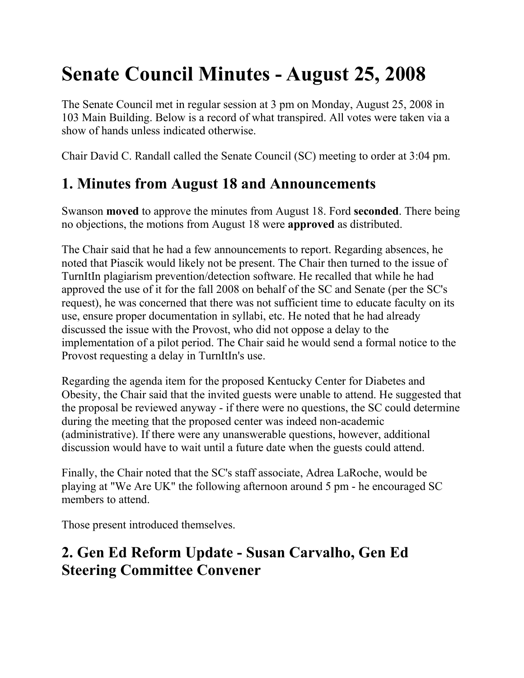# **Senate Council Minutes - August 25, 2008**

The Senate Council met in regular session at 3 pm on Monday, August 25, 2008 in 103 Main Building. Below is a record of what transpired. All votes were taken via a show of hands unless indicated otherwise.

Chair David C. Randall called the Senate Council (SC) meeting to order at 3:04 pm.

## **1. Minutes from August 18 and Announcements**

Swanson **moved** to approve the minutes from August 18. Ford **seconded**. There being no objections, the motions from August 18 were **approved** as distributed.

The Chair said that he had a few announcements to report. Regarding absences, he noted that Piascik would likely not be present. The Chair then turned to the issue of TurnItIn plagiarism prevention/detection software. He recalled that while he had approved the use of it for the fall 2008 on behalf of the SC and Senate (per the SC's request), he was concerned that there was not sufficient time to educate faculty on its use, ensure proper documentation in syllabi, etc. He noted that he had already discussed the issue with the Provost, who did not oppose a delay to the implementation of a pilot period. The Chair said he would send a formal notice to the Provost requesting a delay in TurnItIn's use.

Regarding the agenda item for the proposed Kentucky Center for Diabetes and Obesity, the Chair said that the invited guests were unable to attend. He suggested that the proposal be reviewed anyway - if there were no questions, the SC could determine during the meeting that the proposed center was indeed non-academic (administrative). If there were any unanswerable questions, however, additional discussion would have to wait until a future date when the guests could attend.

Finally, the Chair noted that the SC's staff associate, Adrea LaRoche, would be playing at "We Are UK" the following afternoon around 5 pm - he encouraged SC members to attend.

Those present introduced themselves.

## **2. Gen Ed Reform Update - Susan Carvalho, Gen Ed Steering Committee Convener**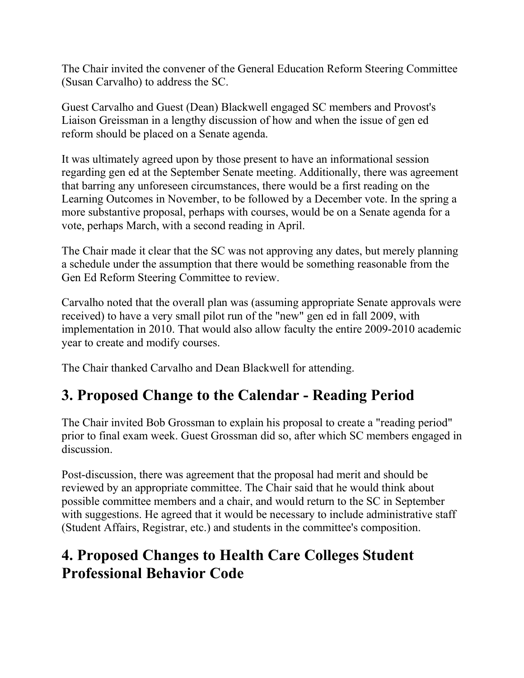The Chair invited the convener of the General Education Reform Steering Committee (Susan Carvalho) to address the SC.

Guest Carvalho and Guest (Dean) Blackwell engaged SC members and Provost's Liaison Greissman in a lengthy discussion of how and when the issue of gen ed reform should be placed on a Senate agenda.

It was ultimately agreed upon by those present to have an informational session regarding gen ed at the September Senate meeting. Additionally, there was agreement that barring any unforeseen circumstances, there would be a first reading on the Learning Outcomes in November, to be followed by a December vote. In the spring a more substantive proposal, perhaps with courses, would be on a Senate agenda for a vote, perhaps March, with a second reading in April.

The Chair made it clear that the SC was not approving any dates, but merely planning a schedule under the assumption that there would be something reasonable from the Gen Ed Reform Steering Committee to review.

Carvalho noted that the overall plan was (assuming appropriate Senate approvals were received) to have a very small pilot run of the "new" gen ed in fall 2009, with implementation in 2010. That would also allow faculty the entire 2009-2010 academic year to create and modify courses.

The Chair thanked Carvalho and Dean Blackwell for attending.

## **3. Proposed Change to the Calendar - Reading Period**

The Chair invited Bob Grossman to explain his proposal to create a "reading period" prior to final exam week. Guest Grossman did so, after which SC members engaged in discussion.

Post-discussion, there was agreement that the proposal had merit and should be reviewed by an appropriate committee. The Chair said that he would think about possible committee members and a chair, and would return to the SC in September with suggestions. He agreed that it would be necessary to include administrative staff (Student Affairs, Registrar, etc.) and students in the committee's composition.

#### **4. Proposed Changes to Health Care Colleges Student Professional Behavior Code**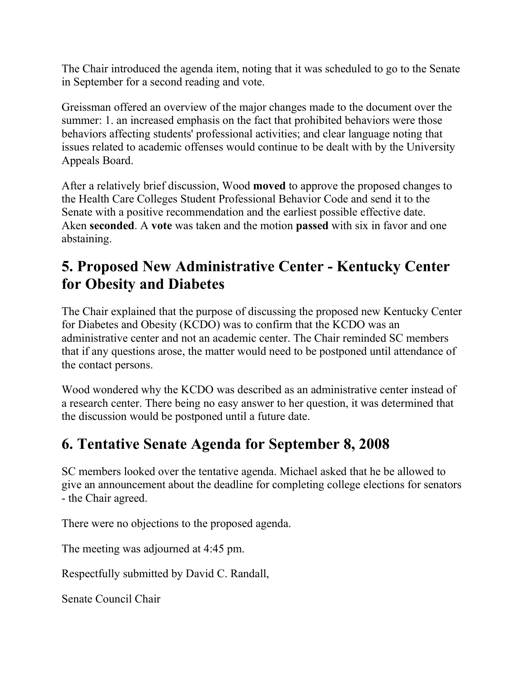The Chair introduced the agenda item, noting that it was scheduled to go to the Senate in September for a second reading and vote.

Greissman offered an overview of the major changes made to the document over the summer: 1. an increased emphasis on the fact that prohibited behaviors were those behaviors affecting students' professional activities; and clear language noting that issues related to academic offenses would continue to be dealt with by the University Appeals Board.

After a relatively brief discussion, Wood **moved** to approve the proposed changes to the Health Care Colleges Student Professional Behavior Code and send it to the Senate with a positive recommendation and the earliest possible effective date. Aken **seconded**. A **vote** was taken and the motion **passed** with six in favor and one abstaining.

#### **5. Proposed New Administrative Center - Kentucky Center for Obesity and Diabetes**

The Chair explained that the purpose of discussing the proposed new Kentucky Center for Diabetes and Obesity (KCDO) was to confirm that the KCDO was an administrative center and not an academic center. The Chair reminded SC members that if any questions arose, the matter would need to be postponed until attendance of the contact persons.

Wood wondered why the KCDO was described as an administrative center instead of a research center. There being no easy answer to her question, it was determined that the discussion would be postponed until a future date.

#### **6. Tentative Senate Agenda for September 8, 2008**

SC members looked over the tentative agenda. Michael asked that he be allowed to give an announcement about the deadline for completing college elections for senators - the Chair agreed.

There were no objections to the proposed agenda.

The meeting was adjourned at 4:45 pm.

Respectfully submitted by David C. Randall,

Senate Council Chair